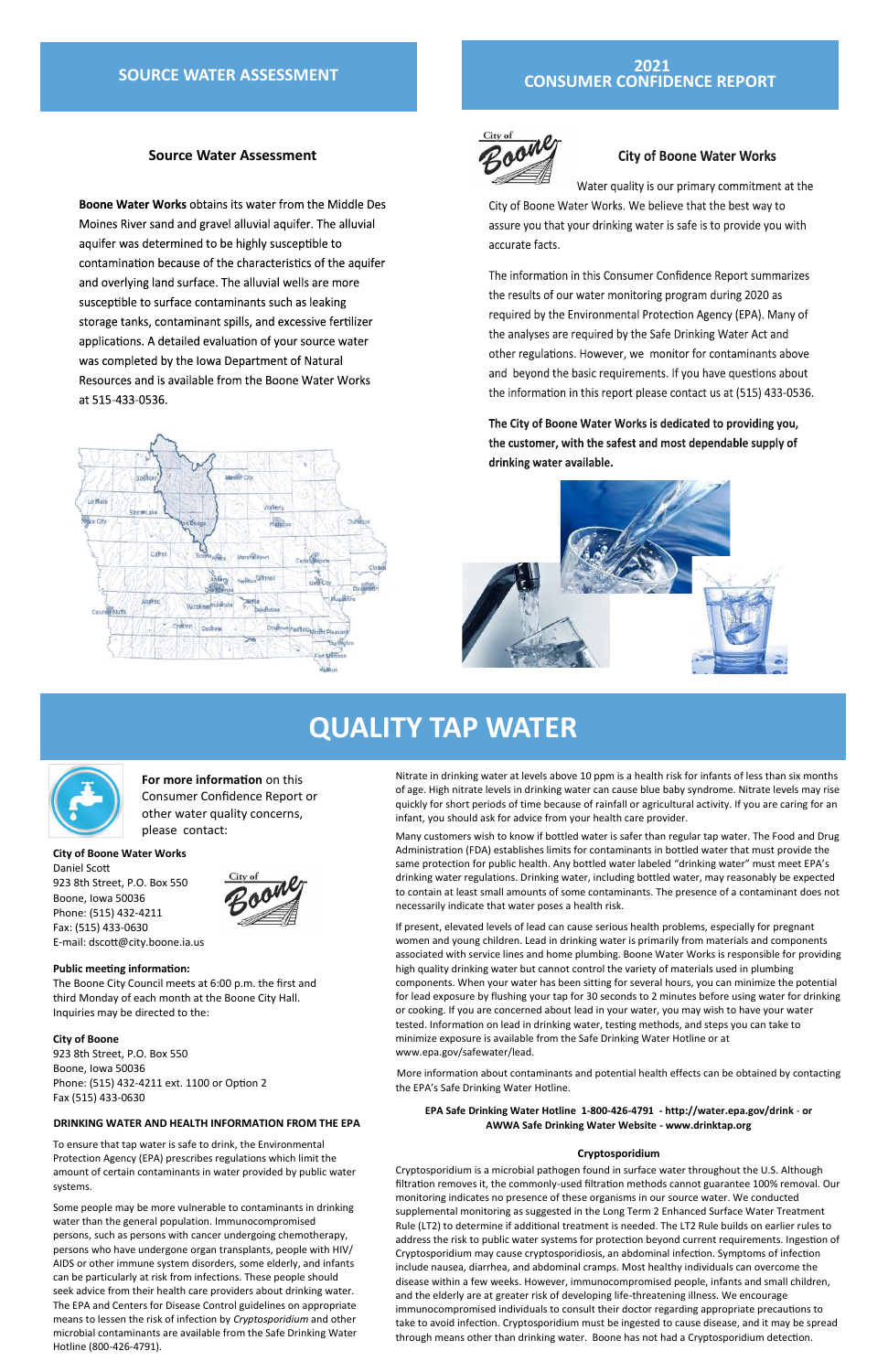# **QUALITY TAP WATER**



# **2021 CONSUMER CONFIDENCE REPORT**



### **City of Boone Water Works**

Water quality is our primary commitment at the City of Boone Water Works. We believe that the best way to assure you that your drinking water is safe is to provide you with accurate facts.

The information in this Consumer Confidence Report summarizes the results of our water monitoring program during 2020 as required by the Environmental Protection Agency (EPA). Many of the analyses are required by the Safe Drinking Water Act and other regulations. However, we monitor for contaminants above and beyond the basic requirements. If you have questions about the information in this report please contact us at (515) 433-0536.

The City of Boone Water Works is dedicated to providing you, the customer, with the safest and most dependable supply of drinking water available.



## **Source Water Assessment**

**Boone Water Works obtains its water from the Middle Des** Moines River sand and gravel alluvial aquifer. The alluvial aquifer was determined to be highly susceptible to contamination because of the characteristics of the aquifer and overlying land surface. The alluvial wells are more susceptible to surface contaminants such as leaking storage tanks, contaminant spills, and excessive fertilizer applications. A detailed evaluation of your source water was completed by the Iowa Department of Natural Resources and is available from the Boone Water Works at 515-433-0536.



Nitrate in drinking water at levels above 10 ppm is a health risk for infants of less than six months of age. High nitrate levels in drinking water can cause blue baby syndrome. Nitrate levels may rise quickly for short periods of time because of rainfall or agricultural activity. If you are caring for an infant, you should ask for advice from your health care provider.

Many customers wish to know if bottled water is safer than regular tap water. The Food and Drug Administration (FDA) establishes limits for contaminants in bottled water that must provide the same protection for public health. Any bottled water labeled "drinking water" must meet EPA's drinking water regulations. Drinking water, including bottled water, may reasonably be expected to contain at least small amounts of some contaminants. The presence of a contaminant does not necessarily indicate that water poses a health risk.

If present, elevated levels of lead can cause serious health problems, especially for pregnant women and young children. Lead in drinking water is primarily from materials and components associated with service lines and home plumbing. Boone Water Works is responsible for providing high quality drinking water but cannot control the variety of materials used in plumbing components. When your water has been sitting for several hours, you can minimize the potential for lead exposure by flushing your tap for 30 seconds to 2 minutes before using water for drinking or cooking. If you are concerned about lead in your water, you may wish to have your water tested. Information on lead in drinking water, testing methods, and steps you can take to minimize exposure is available from the Safe Drinking Water Hotline or at www.epa.gov/safewater/lead.

More information about contaminants and potential health effects can be obtained by contacting the EPA's Safe Drinking Water Hotline.

#### **EPA Safe Drinking Water Hotline 1-800-426-4791 - http://water.epa.gov/drink** - **or AWWA Safe Drinking Water Website - www.drinktap.org**

#### **Cryptosporidium**

Cryptosporidium is a microbial pathogen found in surface water throughout the U.S. Although filtration removes it, the commonly-used filtration methods cannot guarantee 100% removal. Our monitoring indicates no presence of these organisms in our source water. We conducted supplemental monitoring as suggested in the Long Term 2 Enhanced Surface Water Treatment Rule (LT2) to determine if additional treatment is needed. The LT2 Rule builds on earlier rules to address the risk to public water systems for protection beyond current requirements. Ingestion of Cryptosporidium may cause cryptosporidiosis, an abdominal infection. Symptoms of infection include nausea, diarrhea, and abdominal cramps. Most healthy individuals can overcome the disease within a few weeks. However, immunocompromised people, infants and small children, and the elderly are at greater risk of developing life-threatening illness. We encourage immunocompromised individuals to consult their doctor regarding appropriate precautions to take to avoid infection. Cryptosporidium must be ingested to cause disease, and it may be spread through means other than drinking water. Boone has not had a Cryptosporidium detection.

**For more information** on this Consumer Confidence Report or other water quality concerns, please contact:

# **SOURCE WATER ASSESSMENT**

#### **City of Boone Water Works**

Daniel Scott 923 8th Street, P.O. Box 550 Boone, Iowa 50036 Phone: (515) 432-4211 Fax: (515) 433-0630 E-mail: dscott@city.boone.ia.us



**Public meeting information:**

The Boone City Council meets at 6:00 p.m. the first and third Monday of each month at the Boone City Hall.

Inquiries may be directed to the:

#### **City of Boone**

923 8th Street, P.O. Box 550 Boone, Iowa 50036 Phone: (515) 432-4211 ext. 1100 or Option 2 Fax (515) 433-0630

#### **DRINKING WATER AND HEALTH INFORMATION FROM THE EPA**

To ensure that tap water is safe to drink, the Environmental Protection Agency (EPA) prescribes regulations which limit the amount of certain contaminants in water provided by public water systems.

Some people may be more vulnerable to contaminants in drinking water than the general population. Immunocompromised persons, such as persons with cancer undergoing chemotherapy, persons who have undergone organ transplants, people with HIV/ AIDS or other immune system disorders, some elderly, and infants can be particularly at risk from infections. These people should seek advice from their health care providers about drinking water. The EPA and Centers for Disease Control guidelines on appropriate means to lessen the risk of infection by *Cryptosporidium* and other microbial contaminants are available from the Safe Drinking Water Hotline (800-426-4791).